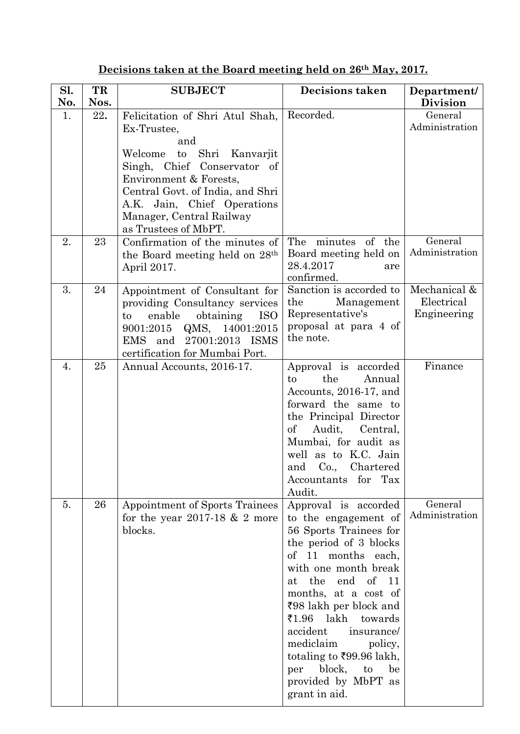| Sl. | TR   | <b>SUBJECT</b>                                                                                                                                                                                                                                                              | Decisions taken                                                                                                                                                                                                                                                                                                                                                                                             | Department/                               |
|-----|------|-----------------------------------------------------------------------------------------------------------------------------------------------------------------------------------------------------------------------------------------------------------------------------|-------------------------------------------------------------------------------------------------------------------------------------------------------------------------------------------------------------------------------------------------------------------------------------------------------------------------------------------------------------------------------------------------------------|-------------------------------------------|
| No. | Nos. |                                                                                                                                                                                                                                                                             |                                                                                                                                                                                                                                                                                                                                                                                                             | <b>Division</b>                           |
| 1.  | 22.  | Felicitation of Shri Atul Shah,<br>Ex-Trustee,<br>and<br>Shri<br>Welcome<br>to<br>Kanvarjit<br>Singh, Chief Conservator of<br>Environment & Forests,<br>Central Govt. of India, and Shri<br>A.K. Jain, Chief Operations<br>Manager, Central Railway<br>as Trustees of MbPT. | Recorded.                                                                                                                                                                                                                                                                                                                                                                                                   | General<br>Administration                 |
| 2.  | 23   | Confirmation of the minutes of<br>the Board meeting held on 28 <sup>th</sup><br>April 2017.                                                                                                                                                                                 | The minutes of the<br>Board meeting held on<br>28.4.2017<br>are<br>confirmed.                                                                                                                                                                                                                                                                                                                               | General<br>Administration                 |
| 3.  | 24   | Appointment of Consultant for<br>providing Consultancy services<br>enable<br>obtaining<br><b>ISO</b><br>$\mathbf{t}$<br>14001:2015<br>9001:2015<br>QMS,<br>27001:2013 ISMS<br>EMS and<br>certification for Mumbai Port.                                                     | Sanction is accorded to<br>the<br>Management<br>Representative's<br>proposal at para 4 of<br>the note.                                                                                                                                                                                                                                                                                                      | Mechanical &<br>Electrical<br>Engineering |
| 4.  | 25   | Annual Accounts, 2016-17.                                                                                                                                                                                                                                                   | Approval is accorded<br>the<br>Annual<br>to<br>Accounts, 2016-17, and<br>forward the same to<br>the Principal Director<br>$\mathrm{of}$<br>Audit,<br>Central.<br>Mumbai, for audit as<br>well as to K.C. Jain<br>Chartered<br>Co.,<br>and<br>Accountants for<br>Tax<br>Audit.                                                                                                                               | Finance                                   |
| 5.  | 26   | Appointment of Sports Trainees<br>for the year 2017-18 $& 2$ more<br>blocks.                                                                                                                                                                                                | Approval is accorded<br>to the engagement of<br>56 Sports Trainees for<br>the period of 3 blocks<br>of 11 months each,<br>with one month break<br>the<br>end<br>of $11$<br>at<br>months, at a cost of<br>₹98 lakh per block and<br>₹1.96 lakh<br>towards<br>accident<br>insurance/<br>mediclaim<br>policy,<br>totaling to ₹99.96 lakh,<br>block,<br>to<br>per<br>be<br>provided by MbPT as<br>grant in aid. | General<br>Administration                 |

## **Decisions taken at the Board meeting held on 26th May, 2017.**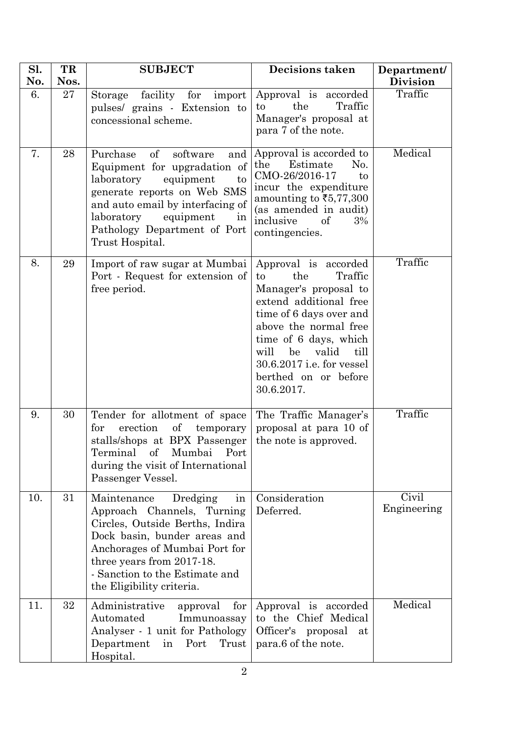| Sl.<br>No. | TR<br>Nos. | <b>SUBJECT</b>                                                                                                                                                                                                                                                       | Decisions taken                                                                                                                                                                                                                                                                | Department/<br><b>Division</b> |
|------------|------------|----------------------------------------------------------------------------------------------------------------------------------------------------------------------------------------------------------------------------------------------------------------------|--------------------------------------------------------------------------------------------------------------------------------------------------------------------------------------------------------------------------------------------------------------------------------|--------------------------------|
| 6.         | 27         | facility for<br>Storage<br>import<br>pulses/ grains - Extension to<br>concessional scheme.                                                                                                                                                                           | Approval is accorded<br>the<br>Traffic<br>to<br>Manager's proposal at<br>para 7 of the note.                                                                                                                                                                                   | Traffic                        |
| 7.         | 28         | <sub>of</sub><br>Purchase<br>software<br>and<br>Equipment for upgradation of<br>laboratory<br>equipment<br>to<br>generate reports on Web SMS<br>and auto email by interfacing of<br>laboratory<br>equipment<br>1n<br>Pathology Department of Port<br>Trust Hospital. | Approval is accorded to<br>Estimate<br>the<br>No.<br>CMO-26/2016-17<br>to<br>incur the expenditure<br>amounting to $\bar{\xi}$ 5,77,300<br>(as amended in audit)<br>inclusive<br>3%<br>of<br>contingencies.                                                                    | Medical                        |
| 8.         | 29         | Import of raw sugar at Mumbai<br>Port - Request for extension of<br>free period.                                                                                                                                                                                     | Approval is accorded<br>Traffic<br>the<br>to<br>Manager's proposal to<br>extend additional free<br>time of 6 days over and<br>above the normal free<br>time of 6 days, which<br>be<br>will<br>valid<br>till<br>30.6.2017 i.e. for vessel<br>berthed on or before<br>30.6.2017. | Traffic                        |
| 9.         | 30         | Tender for allotment of space<br>erection<br>for<br>$\sigma$<br>temporary<br>stalls/shops at BPX Passenger<br>Terminal of Mumbai Port<br>during the visit of International<br>Passenger Vessel.                                                                      | The Traffic Manager's<br>proposal at para 10 of<br>the note is approved.                                                                                                                                                                                                       | Traffic                        |
| 10.        | 31         | Maintenance<br>Dredging<br>in<br>Approach Channels, Turning<br>Circles, Outside Berths, Indira<br>Dock basin, bunder areas and<br>Anchorages of Mumbai Port for<br>three years from 2017-18.<br>- Sanction to the Estimate and<br>the Eligibility criteria.          | Consideration<br>Deferred.                                                                                                                                                                                                                                                     | Civil<br>Engineering           |
| 11.        | 32         | Administrative<br>for<br>approval<br>Automated<br>Immunoassay<br>Analyser - 1 unit for Pathology<br>Department<br>Port<br>Trust<br>in<br>Hospital.                                                                                                                   | Approval is accorded<br>to the Chief Medical<br>Officer's proposal<br>at<br>para.6 of the note.                                                                                                                                                                                | Medical                        |